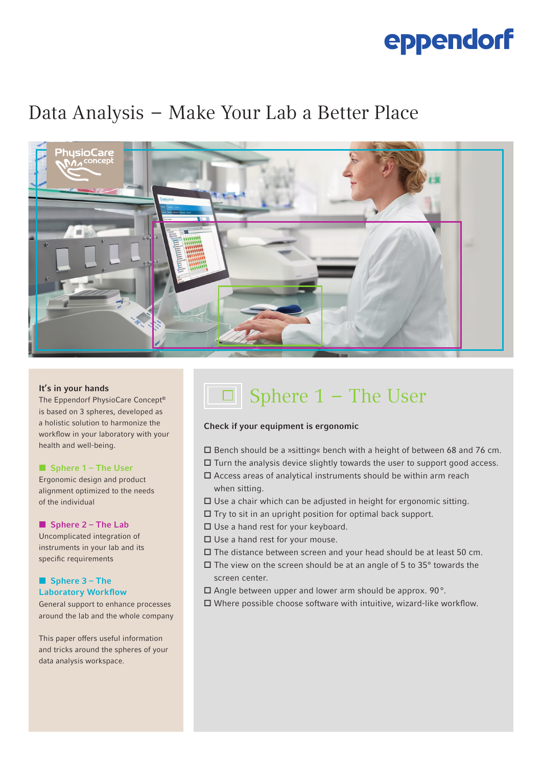## eppendorf

### Data Analysis  –  Make Your Lab a Better Place



### It's in your hands

The Eppendorf PhysioCare Concept® is based on 3 spheres, developed as a holistic solution to harmonize the workflow in your laboratory with your health and well-being.

### ■ Sphere 1 – The User

Ergonomic design and product alignment optimized to the needs of the individual

### ■ Sphere 2 – The Lab

Uncomplicated integration of instruments in your lab and its specific requirements

### ■ Sphere 3 – The Laboratory Workflow

General support to enhance processes around the lab and the whole company

This paper offers useful information and tricks around the spheres of your data analysis workspace.

## □ Sphere 1 – The User

### Check if your equipment is ergonomic

- Bench should be a »sitting« bench with a height of between 68 and 76 cm.
- $\Box$  Turn the analysis device slightly towards the user to support good access.
- $\square$  Access areas of analytical instruments should be within arm reach when sitting.
- $\square$  Use a chair which can be adjusted in height for ergonomic sitting.
- $\Box$  Try to sit in an upright position for optimal back support.
- □ Use a hand rest for your keyboard.
- $\square$  Use a hand rest for your mouse.
- $\square$  The distance between screen and your head should be at least 50 cm.
- $\Box$  The view on the screen should be at an angle of 5 to 35 $^{\circ}$  towards the screen center.
- $\square$  Angle between upper and lower arm should be approx. 90 $^{\circ}$ .
- $\square$  Where possible choose software with intuitive, wizard-like workflow.